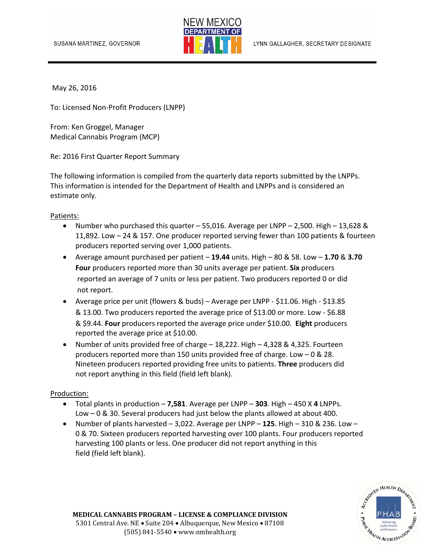

May 26, 2016

To: Licensed Non‐Profit Producers (LNPP)

From: Ken Groggel, Manager Medical Cannabis Program (MCP)

Re: 2016 First Quarter Report Summary

The following information is compiled from the quarterly data reports submitted by the LNPPs. This information is intended for the Department of Health and LNPPs and is considered an estimate only.

Patients:

- Number who purchased this quarter 55,016. Average per LNPP 2,500. High 13,628 & 11,892. Low – 24 & 157. One producer reported serving fewer than 100 patients & fourteen producers reported serving over 1,000 patients.
- Average amount purchased per patient **19.44** units. High 80 & 58. Low **1.70** & **3.70 Four** producers reported more than 30 units average per patient. **Six** producers reported an average of 7 units or less per patient. Two producers reported 0 or did not report.
- Average price per unit (flowers & buds) Average per LNPP ‐ \$11.06. High ‐ \$13.85 & 13.00. Two producers reported the average price of \$13.00 or more. Low ‐ \$6.88 & \$9.44. **Four** producers reported the average price under \$10.00. **Eight** producers reported the average price at \$10.00.
- Number of units provided free of charge 18,222. High 4,328 & 4,325. Fourteen producers reported more than 150 units provided free of charge. Low – 0 & 28. Nineteen producers reported providing free units to patients. **Three** producers did not report anything in this field (field left blank).

## Production:

- Total plants in production **7,581**. Average per LNPP **303**. High 450 X **4** LNPPs. Low – 0 & 30. Several producers had just below the plants allowed at about 400.
- Number of plants harvested 3,022. Average per LNPP **125**. High 310 & 236. Low 0 & 70. Sixteen producers reported harvesting over 100 plants. Four producers reported harvesting 100 plants or less. One producer did not report anything in this field (field left blank).